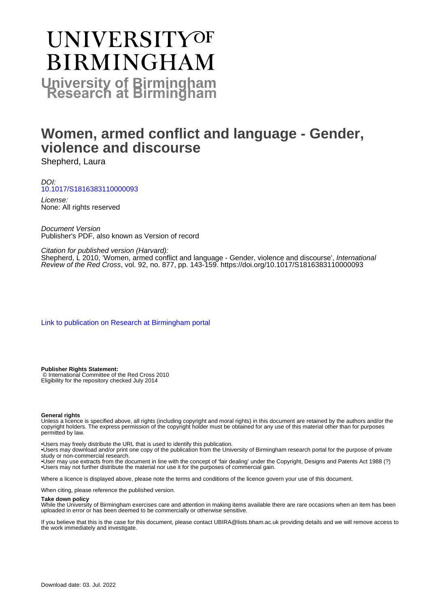# **UNIVERSITYOF BIRMINGHAM University of Birmingham**

# **Women, armed conflict and language - Gender, violence and discourse**

Shepherd, Laura

DOI: [10.1017/S1816383110000093](https://doi.org/10.1017/S1816383110000093)

License: None: All rights reserved

Document Version Publisher's PDF, also known as Version of record

Citation for published version (Harvard):

Shepherd, L 2010, 'Women, armed conflict and language - Gender, violence and discourse', International Review of the Red Cross, vol. 92, no. 877, pp. 143-159.<https://doi.org/10.1017/S1816383110000093>

[Link to publication on Research at Birmingham portal](https://birmingham.elsevierpure.com/en/publications/736f5c6c-082d-4b24-8379-8c17ae78b896)

**Publisher Rights Statement:**

 © International Committee of the Red Cross 2010 Eligibility for the repository checked July 2014

#### **General rights**

Unless a licence is specified above, all rights (including copyright and moral rights) in this document are retained by the authors and/or the copyright holders. The express permission of the copyright holder must be obtained for any use of this material other than for purposes permitted by law.

• Users may freely distribute the URL that is used to identify this publication.

• Users may download and/or print one copy of the publication from the University of Birmingham research portal for the purpose of private study or non-commercial research.

• User may use extracts from the document in line with the concept of 'fair dealing' under the Copyright, Designs and Patents Act 1988 (?) • Users may not further distribute the material nor use it for the purposes of commercial gain.

Where a licence is displayed above, please note the terms and conditions of the licence govern your use of this document.

When citing, please reference the published version.

#### **Take down policy**

While the University of Birmingham exercises care and attention in making items available there are rare occasions when an item has been uploaded in error or has been deemed to be commercially or otherwise sensitive.

If you believe that this is the case for this document, please contact UBIRA@lists.bham.ac.uk providing details and we will remove access to the work immediately and investigate.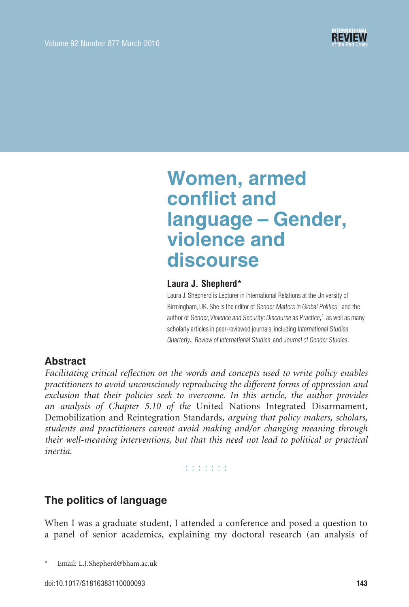# Women, armed conflict and language – Gender, violence and discourse

#### Laura J. Shepherd\*

Laura J. Shepherd is Lecturer in International Relations at the University of Birmingham, UK. She is the editor of Gender Matters in Global Politics<sup>1</sup> and the author of Gender, Violence and Security: Discourse as Practice $,^2$  as well as many scholarly articles in peer-reviewed journals, including International Studies Quarterly, Review of International Studies and Journal of Gender Studies.

#### **Abstract**

Facilitating critical reflection on the words and concepts used to write policy enables practitioners to avoid unconsciously reproducing the different forms of oppression and exclusion that their policies seek to overcome. In this article, the author provides an analysis of Chapter 5.10 of the United Nations Integrated Disarmament, Demobilization and Reintegration Standards, arguing that policy makers, scholars, students and practitioners cannot avoid making and/or changing meaning through their well-meaning interventions, but that this need not lead to political or practical inertia.

**Edition** 

### The politics of language

When I was a graduate student, I attended a conference and posed a question to a panel of senior academics, explaining my doctoral research (an analysis of

Email: L.J.Shepherd@bham.ac.uk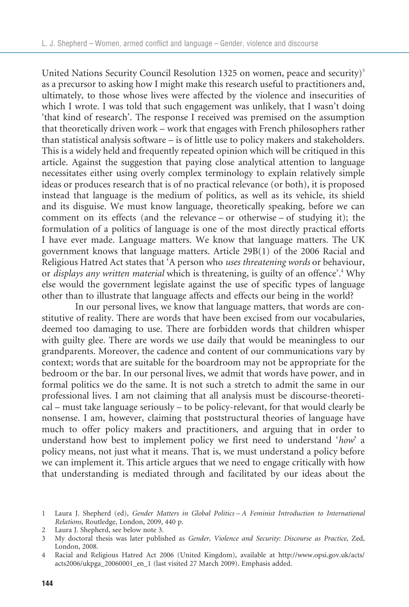United Nations Security Council Resolution 1325 on women, peace and security)<sup>3</sup> as a precursor to asking how I might make this research useful to practitioners and, ultimately, to those whose lives were affected by the violence and insecurities of which I wrote. I was told that such engagement was unlikely, that I wasn't doing 'that kind of research'. The response I received was premised on the assumption that theoretically driven work – work that engages with French philosophers rather than statistical analysis software – is of little use to policy makers and stakeholders. This is a widely held and frequently repeated opinion which will be critiqued in this article. Against the suggestion that paying close analytical attention to language necessitates either using overly complex terminology to explain relatively simple ideas or produces research that is of no practical relevance (or both), it is proposed instead that language is the medium of politics, as well as its vehicle, its shield and its disguise. We must know language, theoretically speaking, before we can comment on its effects (and the relevance – or otherwise – of studying it); the formulation of a politics of language is one of the most directly practical efforts I have ever made. Language matters. We know that language matters. The UK government knows that language matters. Article 29B(1) of the 2006 Racial and Religious Hatred Act states that 'A person who uses threatening words or behaviour, or displays any written material which is threatening, is guilty of an offence'.<sup>4</sup> Why else would the government legislate against the use of specific types of language other than to illustrate that language affects and effects our being in the world?

In our personal lives, we know that language matters, that words are constitutive of reality. There are words that have been excised from our vocabularies, deemed too damaging to use. There are forbidden words that children whisper with guilty glee. There are words we use daily that would be meaningless to our grandparents. Moreover, the cadence and content of our communications vary by context; words that are suitable for the boardroom may not be appropriate for the bedroom or the bar. In our personal lives, we admit that words have power, and in formal politics we do the same. It is not such a stretch to admit the same in our professional lives. I am not claiming that all analysis must be discourse-theoretical – must take language seriously – to be policy-relevant, for that would clearly be nonsense. I am, however, claiming that poststructural theories of language have much to offer policy makers and practitioners, and arguing that in order to understand how best to implement policy we first need to understand 'how' a policy means, not just what it means. That is, we must understand a policy before we can implement it. This article argues that we need to engage critically with how that understanding is mediated through and facilitated by our ideas about the

2 Laura J. Shepherd, see below note 3.

<sup>1</sup> Laura J. Shepherd (ed), Gender Matters in Global Politics – A Feminist Introduction to International Relations, Routledge, London, 2009, 440 p.

<sup>3</sup> My doctoral thesis was later published as *Gender*, *Violence and Security: Discourse as Practice*, Zed, London, 2008.

<sup>4</sup> Racial and Religious Hatred Act 2006 (United Kingdom), available at http://www.opsi.gov.uk/acts/ acts2006/ukpga\_20060001\_en\_1 (last visited 27 March 2009). Emphasis added.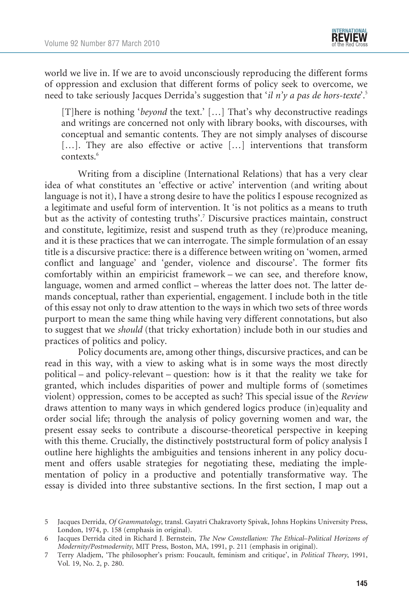world we live in. If we are to avoid unconsciously reproducing the different forms of oppression and exclusion that different forms of policy seek to overcome, we need to take seriously Jacques Derrida's suggestion that 'il n'y a pas de hors-texte'.<sup>5</sup>

[T]here is nothing 'beyond the text.' [...] That's why deconstructive readings and writings are concerned not only with library books, with discourses, with conceptual and semantic contents. They are not simply analyses of discourse [...]. They are also effective or active [...] interventions that transform contexts.<sup>6</sup>

Writing from a discipline (International Relations) that has a very clear idea of what constitutes an 'effective or active' intervention (and writing about language is not it), I have a strong desire to have the politics I espouse recognized as a legitimate and useful form of intervention. It 'is not politics as a means to truth but as the activity of contesting truths'.<sup>7</sup> Discursive practices maintain, construct and constitute, legitimize, resist and suspend truth as they (re)produce meaning, and it is these practices that we can interrogate. The simple formulation of an essay title is a discursive practice: there is a difference between writing on 'women, armed conflict and language' and 'gender, violence and discourse'. The former fits comfortably within an empiricist framework – we can see, and therefore know, language, women and armed conflict – whereas the latter does not. The latter demands conceptual, rather than experiential, engagement. I include both in the title of this essay not only to draw attention to the ways in which two sets of three words purport to mean the same thing while having very different connotations, but also to suggest that we should (that tricky exhortation) include both in our studies and practices of politics and policy.

Policy documents are, among other things, discursive practices, and can be read in this way, with a view to asking what is in some ways the most directly political – and policy-relevant – question: how is it that the reality we take for granted, which includes disparities of power and multiple forms of (sometimes violent) oppression, comes to be accepted as such? This special issue of the Review draws attention to many ways in which gendered logics produce (in)equality and order social life; through the analysis of policy governing women and war, the present essay seeks to contribute a discourse-theoretical perspective in keeping with this theme. Crucially, the distinctively poststructural form of policy analysis I outline here highlights the ambiguities and tensions inherent in any policy document and offers usable strategies for negotiating these, mediating the implementation of policy in a productive and potentially transformative way. The essay is divided into three substantive sections. In the first section, I map out a

<sup>5</sup> Jacques Derrida, Of Grammatology, transl. Gayatri Chakravorty Spivak, Johns Hopkins University Press, London, 1974, p. 158 (emphasis in original).

<sup>6</sup> Jacques Derrida cited in Richard J. Bernstein, The New Constellation: The Ethical–Political Horizons of Modernity/Postmodernity, MIT Press, Boston, MA, 1991, p. 211 (emphasis in original).

<sup>7</sup> Terry Aladjem, 'The philosopher's prism: Foucault, feminism and critique', in Political Theory, 1991, Vol. 19, No. 2, p. 280.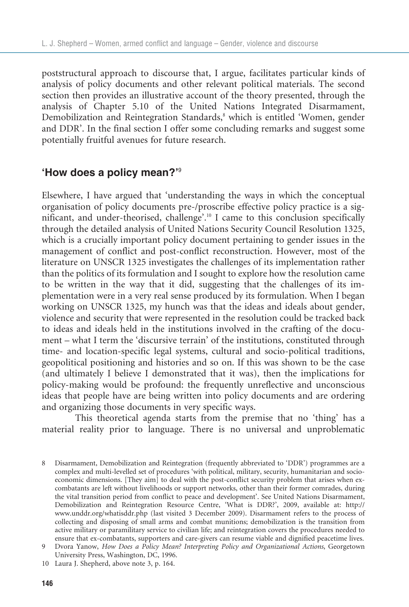poststructural approach to discourse that, I argue, facilitates particular kinds of analysis of policy documents and other relevant political materials. The second section then provides an illustrative account of the theory presented, through the analysis of Chapter 5.10 of the United Nations Integrated Disarmament, Demobilization and Reintegration Standards,<sup>8</sup> which is entitled 'Women, gender and DDR'. In the final section I offer some concluding remarks and suggest some potentially fruitful avenues for future research.

## 'How does a policy mean?'<sup>9</sup>

Elsewhere, I have argued that 'understanding the ways in which the conceptual organisation of policy documents pre-/proscribe effective policy practice is a significant, and under-theorised, challenge'.10 I came to this conclusion specifically through the detailed analysis of United Nations Security Council Resolution 1325, which is a crucially important policy document pertaining to gender issues in the management of conflict and post-conflict reconstruction. However, most of the literature on UNSCR 1325 investigates the challenges of its implementation rather than the politics of its formulation and I sought to explore how the resolution came to be written in the way that it did, suggesting that the challenges of its implementation were in a very real sense produced by its formulation. When I began working on UNSCR 1325, my hunch was that the ideas and ideals about gender, violence and security that were represented in the resolution could be tracked back to ideas and ideals held in the institutions involved in the crafting of the document – what I term the 'discursive terrain' of the institutions, constituted through time- and location-specific legal systems, cultural and socio-political traditions, geopolitical positioning and histories and so on. If this was shown to be the case (and ultimately I believe I demonstrated that it was), then the implications for policy-making would be profound: the frequently unreflective and unconscious ideas that people have are being written into policy documents and are ordering and organizing those documents in very specific ways.

This theoretical agenda starts from the premise that no 'thing' has a material reality prior to language. There is no universal and unproblematic

8 Disarmament, Demobilization and Reintegration (frequently abbreviated to 'DDR') programmes are a complex and multi-levelled set of procedures 'with political, military, security, humanitarian and socioeconomic dimensions. [They aim] to deal with the post-conflict security problem that arises when excombatants are left without livelihoods or support networks, other than their former comrades, during the vital transition period from conflict to peace and development'. See United Nations Disarmament, Demobilization and Reintegration Resource Centre, 'What is DDR?', 2009, available at: http:// www.unddr.org/whatisddr.php (last visited 3 December 2009). Disarmament refers to the process of collecting and disposing of small arms and combat munitions; demobilization is the transition from active military or paramilitary service to civilian life; and reintegration covers the procedures needed to ensure that ex-combatants, supporters and care-givers can resume viable and dignified peacetime lives.

9 Dvora Yanow, How Does a Policy Mean? Interpreting Policy and Organizational Actions, Georgetown University Press, Washington, DC, 1996.

10 Laura J. Shepherd, above note 3, p. 164.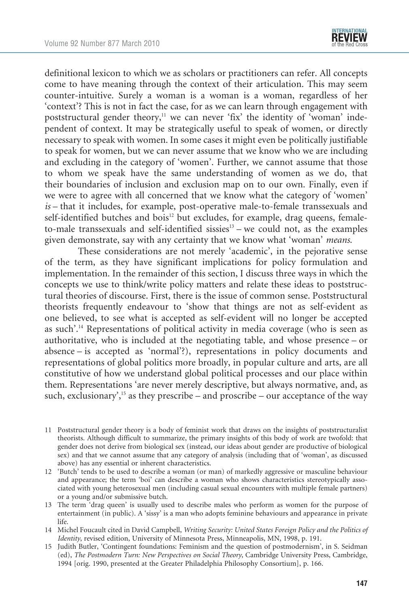

definitional lexicon to which we as scholars or practitioners can refer. All concepts come to have meaning through the context of their articulation. This may seem counter-intuitive. Surely a woman is a woman is a woman, regardless of her 'context'? This is not in fact the case, for as we can learn through engagement with poststructural gender theory,<sup>11</sup> we can never 'fix' the identity of 'woman' independent of context. It may be strategically useful to speak of women, or directly necessary to speak with women. In some cases it might even be politically justifiable to speak for women, but we can never assume that we know who we are including and excluding in the category of 'women'. Further, we cannot assume that those to whom we speak have the same understanding of women as we do, that their boundaries of inclusion and exclusion map on to our own. Finally, even if we were to agree with all concerned that we know what the category of 'women' is – that it includes, for example, post-operative male-to-female transsexuals and self-identified butches and bois<sup>12</sup> but excludes, for example, drag queens, femaleto-male transsexuals and self-identified sissies $13$  – we could not, as the examples given demonstrate, say with any certainty that we know what 'woman' means.

These considerations are not merely 'academic', in the pejorative sense of the term, as they have significant implications for policy formulation and implementation. In the remainder of this section, I discuss three ways in which the concepts we use to think/write policy matters and relate these ideas to poststructural theories of discourse. First, there is the issue of common sense. Poststructural theorists frequently endeavour to 'show that things are not as self-evident as one believed, to see what is accepted as self-evident will no longer be accepted as such'.14 Representations of political activity in media coverage (who is seen as authoritative, who is included at the negotiating table, and whose presence – or absence – is accepted as 'normal'?), representations in policy documents and representations of global politics more broadly, in popular culture and arts, are all constitutive of how we understand global political processes and our place within them. Representations 'are never merely descriptive, but always normative, and, as such, exclusionary', $15$  as they prescribe – and proscribe – our acceptance of the way

- 11 Poststructural gender theory is a body of feminist work that draws on the insights of poststructuralist theorists. Although difficult to summarize, the primary insights of this body of work are twofold: that gender does not derive from biological sex (instead, our ideas about gender are productive of biological sex) and that we cannot assume that any category of analysis (including that of 'woman', as discussed above) has any essential or inherent characteristics.
- 12 'Butch' tends to be used to describe a woman (or man) of markedly aggressive or masculine behaviour and appearance; the term 'boi' can describe a woman who shows characteristics stereotypically associated with young heterosexual men (including casual sexual encounters with multiple female partners) or a young and/or submissive butch.
- 13 The term 'drag queen' is usually used to describe males who perform as women for the purpose of entertainment (in public). A 'sissy' is a man who adopts feminine behaviours and appearance in private life.
- 14 Michel Foucault cited in David Campbell, Writing Security: United States Foreign Policy and the Politics of Identity, revised edition, University of Minnesota Press, Minneapolis, MN, 1998, p. 191.
- 15 Judith Butler, 'Contingent foundations: Feminism and the question of postmodernism', in S. Seidman (ed), The Postmodern Turn: New Perspectives on Social Theory, Cambridge University Press, Cambridge, 1994 [orig. 1990, presented at the Greater Philadelphia Philosophy Consortium], p. 166.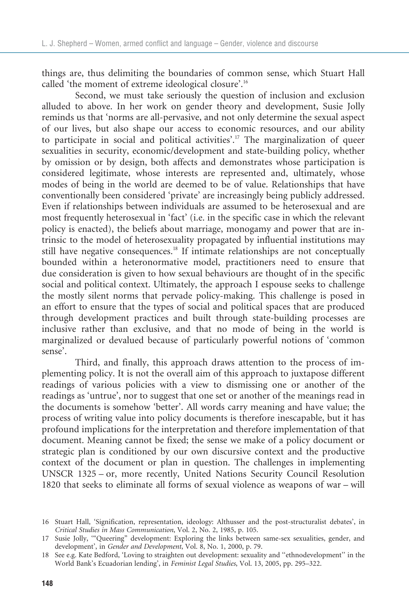things are, thus delimiting the boundaries of common sense, which Stuart Hall called 'the moment of extreme ideological closure'.<sup>16</sup>

Second, we must take seriously the question of inclusion and exclusion alluded to above. In her work on gender theory and development, Susie Jolly reminds us that 'norms are all-pervasive, and not only determine the sexual aspect of our lives, but also shape our access to economic resources, and our ability to participate in social and political activities'.<sup>17</sup> The marginalization of queer sexualities in security, economic/development and state-building policy, whether by omission or by design, both affects and demonstrates whose participation is considered legitimate, whose interests are represented and, ultimately, whose modes of being in the world are deemed to be of value. Relationships that have conventionally been considered 'private' are increasingly being publicly addressed. Even if relationships between individuals are assumed to be heterosexual and are most frequently heterosexual in 'fact' (i.e. in the specific case in which the relevant policy is enacted), the beliefs about marriage, monogamy and power that are intrinsic to the model of heterosexuality propagated by influential institutions may still have negative consequences.<sup>18</sup> If intimate relationships are not conceptually bounded within a heteronormative model, practitioners need to ensure that due consideration is given to how sexual behaviours are thought of in the specific social and political context. Ultimately, the approach I espouse seeks to challenge the mostly silent norms that pervade policy-making. This challenge is posed in an effort to ensure that the types of social and political spaces that are produced through development practices and built through state-building processes are inclusive rather than exclusive, and that no mode of being in the world is marginalized or devalued because of particularly powerful notions of 'common sense'.

Third, and finally, this approach draws attention to the process of implementing policy. It is not the overall aim of this approach to juxtapose different readings of various policies with a view to dismissing one or another of the readings as 'untrue', nor to suggest that one set or another of the meanings read in the documents is somehow 'better'. All words carry meaning and have value; the process of writing value into policy documents is therefore inescapable, but it has profound implications for the interpretation and therefore implementation of that document. Meaning cannot be fixed; the sense we make of a policy document or strategic plan is conditioned by our own discursive context and the productive context of the document or plan in question. The challenges in implementing UNSCR 1325 – or, more recently, United Nations Security Council Resolution 1820 that seeks to eliminate all forms of sexual violence as weapons of war – will

<sup>16</sup> Stuart Hall, 'Signification, representation, ideology: Althusser and the post-structuralist debates', in Critical Studies in Mass Communication, Vol. 2, No. 2, 1985, p. 105.

<sup>17</sup> Susie Jolly, '"Queering" development: Exploring the links between same-sex sexualities, gender, and development', in Gender and Development, Vol. 8, No. 1, 2000, p. 79.

<sup>18</sup> See e.g. Kate Bedford, 'Loving to straighten out development: sexuality and ''ethnodevelopment'' in the World Bank's Ecuadorian lending', in Feminist Legal Studies, Vol. 13, 2005, pp. 295–322.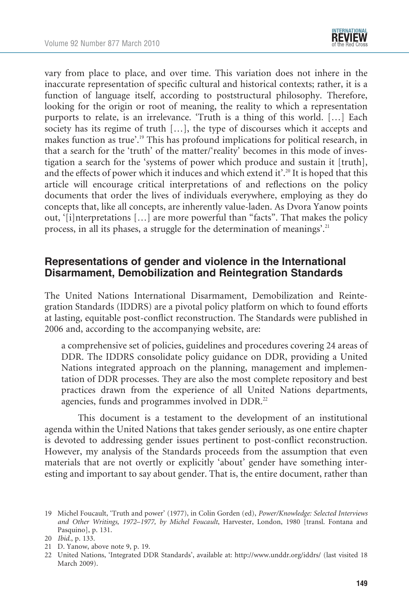

vary from place to place, and over time. This variation does not inhere in the inaccurate representation of specific cultural and historical contexts; rather, it is a function of language itself, according to poststructural philosophy. Therefore, looking for the origin or root of meaning, the reality to which a representation purports to relate, is an irrelevance. 'Truth is a thing of this world. […] Each society has its regime of truth […], the type of discourses which it accepts and makes function as true'.19 This has profound implications for political research, in that a search for the 'truth' of the matter/'reality' becomes in this mode of investigation a search for the 'systems of power which produce and sustain it [truth], and the effects of power which it induces and which extend it'.<sup>20</sup> It is hoped that this article will encourage critical interpretations of and reflections on the policy documents that order the lives of individuals everywhere, employing as they do concepts that, like all concepts, are inherently value-laden. As Dvora Yanow points out, '[i]nterpretations […] are more powerful than "facts". That makes the policy process, in all its phases, a struggle for the determination of meanings'.<sup>21</sup>

### Representations of gender and violence in the International Disarmament, Demobilization and Reintegration Standards

The United Nations International Disarmament, Demobilization and Reintegration Standards (IDDRS) are a pivotal policy platform on which to found efforts at lasting, equitable post-conflict reconstruction. The Standards were published in 2006 and, according to the accompanying website, are:

a comprehensive set of policies, guidelines and procedures covering 24 areas of DDR. The IDDRS consolidate policy guidance on DDR, providing a United Nations integrated approach on the planning, management and implementation of DDR processes. They are also the most complete repository and best practices drawn from the experience of all United Nations departments, agencies, funds and programmes involved in DDR.<sup>22</sup>

This document is a testament to the development of an institutional agenda within the United Nations that takes gender seriously, as one entire chapter is devoted to addressing gender issues pertinent to post-conflict reconstruction. However, my analysis of the Standards proceeds from the assumption that even materials that are not overtly or explicitly 'about' gender have something interesting and important to say about gender. That is, the entire document, rather than

21 D. Yanow, above note 9, p. 19.

<sup>19</sup> Michel Foucault, 'Truth and power' (1977), in Colin Gorden (ed), Power/Knowledge: Selected Interviews and Other Writings, 1972–1977, by Michel Foucault, Harvester, London, 1980 [transl. Fontana and Pasquino], p. 131.

<sup>20</sup> Ibid., p. 133.

<sup>22</sup> United Nations, 'Integrated DDR Standards', available at: http://www.unddr.org/iddrs/ (last visited 18 March 2009).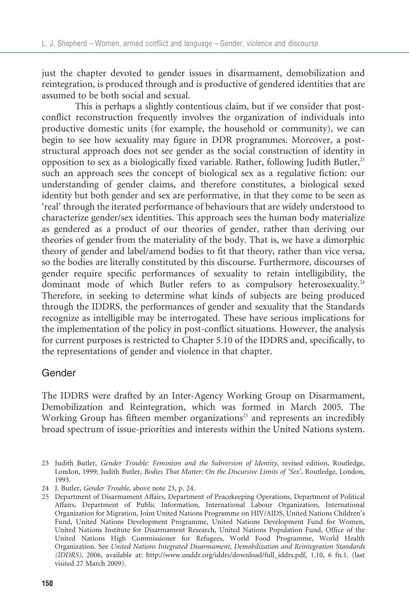just the chapter devoted to gender issues in disarmament, demobilization and reintegration, is produced through and is productive of gendered identities that are assumed to be both social and sexual.

This is perhaps a slightly contentious claim, but if we consider that postconflict reconstruction frequently involves the organization of individuals into productive domestic units (for example, the household or community), we can begin to see how sexuality may figure in DDR programmes. Moreover, a poststructural approach does not see gender as the social construction of identity in opposition to sex as a biologically fixed variable. Rather, following Judith Butler,<sup>23</sup> such an approach sees the concept of biological sex as a regulative fiction: our understanding of gender claims, and therefore constitutes, a biological sexed identity but both gender and sex are performative, in that they come to be seen as 'real' through the iterated performance of behaviours that are widely understood to characterize gender/sex identities. This approach sees the human body materialize as gendered as a product of our theories of gender, rather than deriving our theories of gender from the materiality of the body. That is, we have a dimorphic theory of gender and label/amend bodies to fit that theory, rather than vice versa, so the bodies are literally constituted by this discourse. Furthermore, discourses of gender require specific performances of sexuality to retain intelligibility, the dominant mode of which Butler refers to as compulsory heterosexuality.<sup>24</sup> Therefore, in seeking to determine what kinds of subjects are being produced through the IDDRS, the performances of gender and sexuality that the Standards recognize as intelligible may be interrogated. These have serious implications for the implementation of the policy in post-conflict situations. However, the analysis for current purposes is restricted to Chapter 5.10 of the IDDRS and, specifically, to the representations of gender and violence in that chapter.

#### Gender

The IDDRS were drafted by an Inter-Agency Working Group on Disarmament, Demobilization and Reintegration, which was formed in March 2005. The Working Group has fifteen member organizations<sup>25</sup> and represents an incredibly broad spectrum of issue-priorities and interests within the United Nations system.

<sup>23</sup> Judith Butler, Gender Trouble: Feminism and the Subversion of Identity, revised edition, Routledge, London, 1999; Judith Butler, Bodies That Matter: On the Discursive Limits of 'Sex', Routledge, London, 1993.

<sup>24</sup> J. Butler, Gender Trouble, above note 23, p. 24.

<sup>25</sup> Department of Disarmament Affairs, Department of Peacekeeping Operations, Department of Political Affairs, Department of Public Information, International Labour Organization, International Organization for Migration, Joint United Nations Programme on HIV/AIDS, United Nations Children's Fund, United Nations Development Programme, United Nations Development Fund for Women, United Nations Institute for Disarmament Research, United Nations Population Fund, Office of the United Nations High Commissioner for Refugees, World Food Programme, World Health Organization. See United Nations Integrated Disarmament, Demobilization and Reintegration Standards (IDDRS), 2006, available at: http://www.unddr.org/iddrs/download/full\_iddrs.pdf, 1.10, 6 fn.1. (last visited 27 March 2009).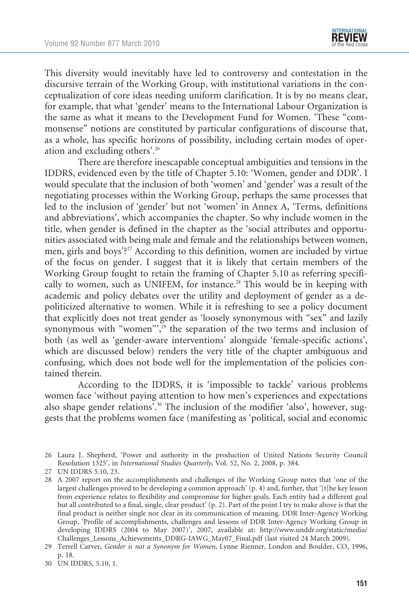This diversity would inevitably have led to controversy and contestation in the discursive terrain of the Working Group, with institutional variations in the conceptualization of core ideas needing uniform clarification. It is by no means clear, for example, that what 'gender' means to the International Labour Organization is the same as what it means to the Development Fund for Women. 'These "commonsense" notions are constituted by particular configurations of discourse that, as a whole, has specific horizons of possibility, including certain modes of operation and excluding others'.26

There are therefore inescapable conceptual ambiguities and tensions in the IDDRS, evidenced even by the title of Chapter 5.10: 'Women, gender and DDR'. I would speculate that the inclusion of both 'women' and 'gender' was a result of the negotiating processes within the Working Group, perhaps the same processes that led to the inclusion of 'gender' but not 'women' in Annex A, 'Terms, definitions and abbreviations', which accompanies the chapter. So why include women in the title, when gender is defined in the chapter as the 'social attributes and opportunities associated with being male and female and the relationships between women, men, girls and boys'?<sup>27</sup> According to this definition, women are included by virtue of the focus on gender. I suggest that it is likely that certain members of the Working Group fought to retain the framing of Chapter 5.10 as referring specifically to women, such as UNIFEM, for instance.<sup>28</sup> This would be in keeping with academic and policy debates over the utility and deployment of gender as a depoliticized alternative to women. While it is refreshing to see a policy document that explicitly does not treat gender as 'loosely synonymous with "sex" and lazily synonymous with "women", $\frac{3}{2}$ " the separation of the two terms and inclusion of both (as well as 'gender-aware interventions' alongside 'female-specific actions', which are discussed below) renders the very title of the chapter ambiguous and confusing, which does not bode well for the implementation of the policies contained therein.

According to the IDDRS, it is 'impossible to tackle' various problems women face 'without paying attention to how men's experiences and expectations also shape gender relations'.30 The inclusion of the modifier 'also', however, suggests that the problems women face (manifesting as 'political, social and economic

27 UN IDDRS 5.10, 23.

28 A 2007 report on the accomplishments and challenges of the Working Group notes that 'one of the largest challenges proved to be developing a common approach' (p. 4) and, further, that '[t]he key lesson from experience relates to flexibility and compromise for higher goals. Each entity had a different goal but all contributed to a final, single, clear product' (p. 2). Part of the point I try to make above is that the final product is neither single nor clear in its communication of meaning. DDR Inter-Agency Working Group, 'Profile of accomplishments, challenges and lessons of DDR Inter-Agency Working Group in developing IDDRS (2004 to May 2007)', 2007, available at: http://www.unddr.org/static/media/ Challenges\_Lessons\_Achievements\_DDRG-IAWG\_May07\_Final.pdf (last visited 24 March 2009).

<sup>26</sup> Laura J. Shepherd, 'Power and authority in the production of United Nations Security Council Resolution 1325', in International Studies Quarterly, Vol. 52, No. 2, 2008, p. 384.

<sup>29</sup> Terrell Carver, Gender is not a Synonym for Women, Lynne Rienner, London and Boulder, CO, 1996, p. 18.

<sup>30</sup> UN IDDRS, 5.10, 1.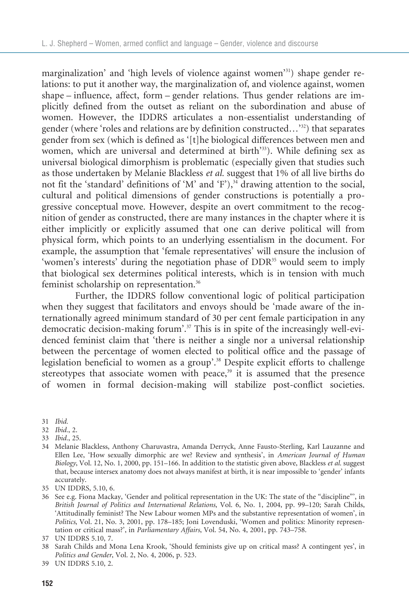marginalization' and 'high levels of violence against women'31) shape gender relations: to put it another way, the marginalization of, and violence against, women shape – influence, affect, form – gender relations. Thus gender relations are implicitly defined from the outset as reliant on the subordination and abuse of women. However, the IDDRS articulates a non-essentialist understanding of gender (where 'roles and relations are by definition constructed…'32) that separates gender from sex (which is defined as '[t]he biological differences between men and women, which are universal and determined at birth'33). While defining sex as universal biological dimorphism is problematic (especially given that studies such as those undertaken by Melanie Blackless et al. suggest that 1% of all live births do not fit the 'standard' definitions of 'M' and 'F'),  $\frac{34}{3}$  drawing attention to the social, cultural and political dimensions of gender constructions is potentially a progressive conceptual move. However, despite an overt commitment to the recognition of gender as constructed, there are many instances in the chapter where it is either implicitly or explicitly assumed that one can derive political will from physical form, which points to an underlying essentialism in the document. For example, the assumption that 'female representatives' will ensure the inclusion of 'women's interests' during the negotiation phase of DDR<sup>35</sup> would seem to imply that biological sex determines political interests, which is in tension with much feminist scholarship on representation.<sup>36</sup>

Further, the IDDRS follow conventional logic of political participation when they suggest that facilitators and envoys should be 'made aware of the internationally agreed minimum standard of 30 per cent female participation in any democratic decision-making forum'.37 This is in spite of the increasingly well-evidenced feminist claim that 'there is neither a single nor a universal relationship between the percentage of women elected to political office and the passage of legislation beneficial to women as a group'.38 Despite explicit efforts to challenge stereotypes that associate women with peace,<sup>39</sup> it is assumed that the presence of women in formal decision-making will stabilize post-conflict societies.

- 32 Ibid., 2.
- 33 Ibid., 25.

<sup>31</sup> Ibid.

<sup>34</sup> Melanie Blackless, Anthony Charuvastra, Amanda Derryck, Anne Fausto-Sterling, Karl Lauzanne and Ellen Lee, 'How sexually dimorphic are we? Review and synthesis', in American Journal of Human Biology, Vol. 12, No. 1, 2000, pp. 151–166. In addition to the statistic given above, Blackless et al. suggest that, because intersex anatomy does not always manifest at birth, it is near impossible to 'gender' infants accurately.

<sup>35</sup> UN IDDRS, 5.10, 6.

<sup>36</sup> See e.g. Fiona Mackay, 'Gender and political representation in the UK: The state of the "discipline"', in British Journal of Politics and International Relations, Vol. 6, No. 1, 2004, pp. 99–120; Sarah Childs, 'Attitudinally feminist? The New Labour women MPs and the substantive representation of women', in Politics, Vol. 21, No. 3, 2001, pp. 178–185; Joni Lovenduski, 'Women and politics: Minority representation or critical mass?', in Parliamentary Affairs, Vol. 54, No. 4, 2001, pp. 743–758.

<sup>37</sup> UN IDDRS 5.10, 7.

<sup>38</sup> Sarah Childs and Mona Lena Krook, 'Should feminists give up on critical mass? A contingent yes', in Politics and Gender, Vol. 2, No. 4, 2006, p. 523.

<sup>39</sup> UN IDDRS 5.10, 2.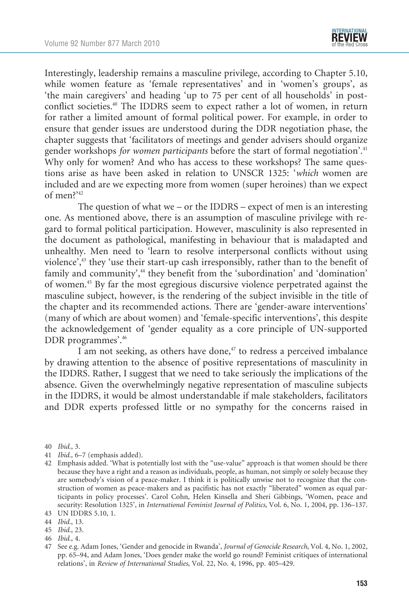Interestingly, leadership remains a masculine privilege, according to Chapter 5.10, while women feature as 'female representatives' and in 'women's groups', as 'the main caregivers' and heading 'up to 75 per cent of all households' in postconflict societies.40 The IDDRS seem to expect rather a lot of women, in return for rather a limited amount of formal political power. For example, in order to ensure that gender issues are understood during the DDR negotiation phase, the chapter suggests that 'facilitators of meetings and gender advisers should organize gender workshops for women participants before the start of formal negotiation'.<sup>41</sup> Why only for women? And who has access to these workshops? The same questions arise as have been asked in relation to UNSCR 1325: 'which women are included and are we expecting more from women (super heroines) than we expect of men?'42

The question of what we – or the IDDRS – expect of men is an interesting one. As mentioned above, there is an assumption of masculine privilege with regard to formal political participation. However, masculinity is also represented in the document as pathological, manifesting in behaviour that is maladapted and unhealthy. Men need to 'learn to resolve interpersonal conflicts without using violence',<sup>43</sup> they 'use their start-up cash irresponsibly, rather than to the benefit of family and community',<sup>44</sup> they benefit from the 'subordination' and 'domination' of women.45 By far the most egregious discursive violence perpetrated against the masculine subject, however, is the rendering of the subject invisible in the title of the chapter and its recommended actions. There are 'gender-aware interventions' (many of which are about women) and 'female-specific interventions', this despite the acknowledgement of 'gender equality as a core principle of UN-supported DDR programmes'.46

I am not seeking, as others have done,<sup>47</sup> to redress a perceived imbalance by drawing attention to the absence of positive representations of masculinity in the IDDRS. Rather, I suggest that we need to take seriously the implications of the absence. Given the overwhelmingly negative representation of masculine subjects in the IDDRS, it would be almost understandable if male stakeholders, facilitators and DDR experts professed little or no sympathy for the concerns raised in

- 41 Ibid., 6–7 (emphasis added).
- 42 Emphasis added. 'What is potentially lost with the "use-value" approach is that women should be there because they have a right and a reason as individuals, people, as human, not simply or solely because they are somebody's vision of a peace-maker. I think it is politically unwise not to recognize that the construction of women as peace-makers and as pacifistic has not exactly "liberated" women as equal participants in policy processes'. Carol Cohn, Helen Kinsella and Sheri Gibbings, 'Women, peace and security: Resolution 1325', in *International Feminist Journal of Politics*, Vol. 6, No. 1, 2004, pp. 136–137.
- 43 UN IDDRS 5.10, 1.
- 44 Ibid., 13.
- 45 Ibid., 23.
- 46 Ibid., 4.
- 47 See e.g. Adam Jones, 'Gender and genocide in Rwanda', Journal of Genocide Research, Vol. 4, No. 1, 2002, pp. 65–94, and Adam Jones, 'Does gender make the world go round? Feminist critiques of international relations', in Review of International Studies, Vol. 22, No. 4, 1996, pp. 405–429.

<sup>40</sup> Ibid., 3.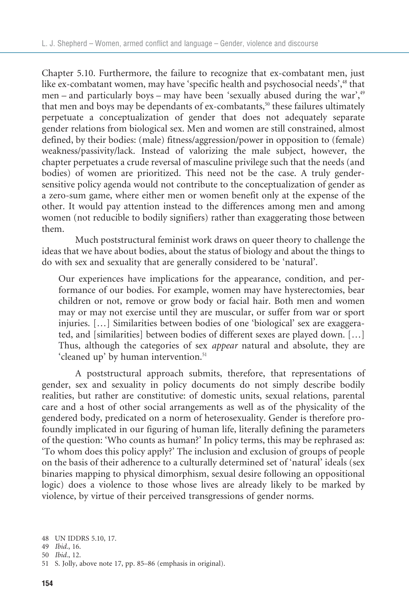Chapter 5.10. Furthermore, the failure to recognize that ex-combatant men, just like ex-combatant women, may have 'specific health and psychosocial needs',<sup>48</sup> that men – and particularly boys – may have been 'sexually abused during the war', $49$ that men and boys may be dependants of ex-combatants,<sup>50</sup> these failures ultimately perpetuate a conceptualization of gender that does not adequately separate gender relations from biological sex. Men and women are still constrained, almost defined, by their bodies: (male) fitness/aggression/power in opposition to (female) weakness/passivity/lack. Instead of valorizing the male subject, however, the chapter perpetuates a crude reversal of masculine privilege such that the needs (and bodies) of women are prioritized. This need not be the case. A truly gendersensitive policy agenda would not contribute to the conceptualization of gender as a zero-sum game, where either men or women benefit only at the expense of the other. It would pay attention instead to the differences among men and among women (not reducible to bodily signifiers) rather than exaggerating those between them.

Much poststructural feminist work draws on queer theory to challenge the ideas that we have about bodies, about the status of biology and about the things to do with sex and sexuality that are generally considered to be 'natural'.

Our experiences have implications for the appearance, condition, and performance of our bodies. For example, women may have hysterectomies, bear children or not, remove or grow body or facial hair. Both men and women may or may not exercise until they are muscular, or suffer from war or sport injuries. […] Similarities between bodies of one 'biological' sex are exaggerated, and [similarities] between bodies of different sexes are played down. […] Thus, although the categories of sex *appear* natural and absolute, they are 'cleaned up' by human intervention.<sup>51</sup>

A poststructural approach submits, therefore, that representations of gender, sex and sexuality in policy documents do not simply describe bodily realities, but rather are constitutive: of domestic units, sexual relations, parental care and a host of other social arrangements as well as of the physicality of the gendered body, predicated on a norm of heterosexuality. Gender is therefore profoundly implicated in our figuring of human life, literally defining the parameters of the question: 'Who counts as human?' In policy terms, this may be rephrased as: 'To whom does this policy apply?' The inclusion and exclusion of groups of people on the basis of their adherence to a culturally determined set of 'natural' ideals (sex binaries mapping to physical dimorphism, sexual desire following an oppositional logic) does a violence to those whose lives are already likely to be marked by violence, by virtue of their perceived transgressions of gender norms.

<sup>48</sup> UN IDDRS 5.10, 17.

<sup>49</sup> Ibid., 16.

<sup>50</sup> Ibid., 12.

<sup>51</sup> S. Jolly, above note 17, pp. 85–86 (emphasis in original).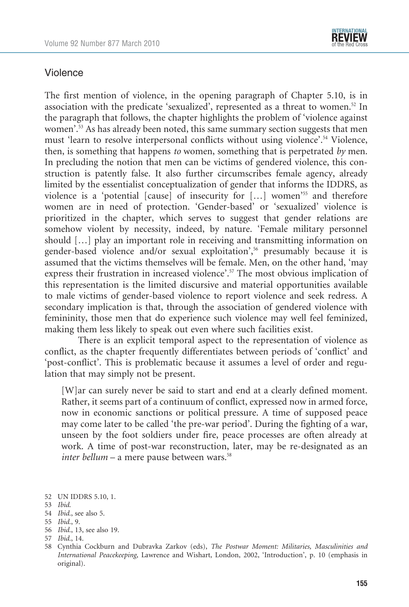

#### Violence

The first mention of violence, in the opening paragraph of Chapter 5.10, is in association with the predicate 'sexualized', represented as a threat to women.<sup>52</sup> In the paragraph that follows, the chapter highlights the problem of 'violence against women'.53 As has already been noted, this same summary section suggests that men must 'learn to resolve interpersonal conflicts without using violence'.<sup>54</sup> Violence, then, is something that happens to women, something that is perpetrated by men. In precluding the notion that men can be victims of gendered violence, this construction is patently false. It also further circumscribes female agency, already limited by the essentialist conceptualization of gender that informs the IDDRS, as violence is a 'potential [cause] of insecurity for […] women'55 and therefore women are in need of protection. 'Gender-based' or 'sexualized' violence is prioritized in the chapter, which serves to suggest that gender relations are somehow violent by necessity, indeed, by nature. 'Female military personnel should […] play an important role in receiving and transmitting information on gender-based violence and/or sexual exploitation',<sup>56</sup> presumably because it is assumed that the victims themselves will be female. Men, on the other hand, 'may express their frustration in increased violence'.<sup>57</sup> The most obvious implication of this representation is the limited discursive and material opportunities available to male victims of gender-based violence to report violence and seek redress. A secondary implication is that, through the association of gendered violence with femininity, those men that do experience such violence may well feel feminized, making them less likely to speak out even where such facilities exist.

There is an explicit temporal aspect to the representation of violence as conflict, as the chapter frequently differentiates between periods of 'conflict' and 'post-conflict'. This is problematic because it assumes a level of order and regulation that may simply not be present.

[W]ar can surely never be said to start and end at a clearly defined moment. Rather, it seems part of a continuum of conflict, expressed now in armed force, now in economic sanctions or political pressure. A time of supposed peace may come later to be called 'the pre-war period'. During the fighting of a war, unseen by the foot soldiers under fire, peace processes are often already at work. A time of post-war reconstruction, later, may be re-designated as an inter bellum – a mere pause between wars. $58$ 

<sup>52</sup> UN IDDRS 5.10, 1.

<sup>53</sup> Ibid.

<sup>54</sup> Ibid., see also 5.

<sup>55</sup> Ibid., 9.

<sup>56</sup> Ibid., 13, see also 19.

<sup>57</sup> Ibid., 14.

<sup>58</sup> Cynthia Cockburn and Dubravka Zarkov (eds), The Postwar Moment: Militaries, Masculinities and International Peacekeeping, Lawrence and Wishart, London, 2002, 'Introduction', p. 10 (emphasis in original).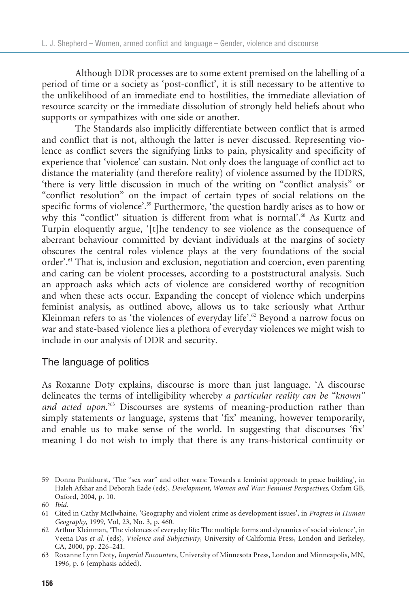Although DDR processes are to some extent premised on the labelling of a period of time or a society as 'post-conflict', it is still necessary to be attentive to the unlikelihood of an immediate end to hostilities, the immediate alleviation of resource scarcity or the immediate dissolution of strongly held beliefs about who supports or sympathizes with one side or another.

The Standards also implicitly differentiate between conflict that is armed and conflict that is not, although the latter is never discussed. Representing violence as conflict severs the signifying links to pain, physicality and specificity of experience that 'violence' can sustain. Not only does the language of conflict act to distance the materiality (and therefore reality) of violence assumed by the IDDRS, 'there is very little discussion in much of the writing on "conflict analysis" or "conflict resolution" on the impact of certain types of social relations on the specific forms of violence'.59 Furthermore, 'the question hardly arises as to how or why this "conflict" situation is different from what is normal'.<sup>60</sup> As Kurtz and Turpin eloquently argue, '[t]he tendency to see violence as the consequence of aberrant behaviour committed by deviant individuals at the margins of society obscures the central roles violence plays at the very foundations of the social order'.61 That is, inclusion and exclusion, negotiation and coercion, even parenting and caring can be violent processes, according to a poststructural analysis. Such an approach asks which acts of violence are considered worthy of recognition and when these acts occur. Expanding the concept of violence which underpins feminist analysis, as outlined above, allows us to take seriously what Arthur Kleinman refers to as 'the violences of everyday life'.<sup>62</sup> Beyond a narrow focus on war and state-based violence lies a plethora of everyday violences we might wish to include in our analysis of DDR and security.

### The language of politics

As Roxanne Doty explains, discourse is more than just language. 'A discourse delineates the terms of intelligibility whereby a particular reality can be "known" and acted upon.<sup>363</sup> Discourses are systems of meaning-production rather than simply statements or language, systems that 'fix' meaning, however temporarily, and enable us to make sense of the world. In suggesting that discourses 'fix' meaning I do not wish to imply that there is any trans-historical continuity or

<sup>59</sup> Donna Pankhurst, 'The "sex war" and other wars: Towards a feminist approach to peace building', in Haleh Afshar and Deborah Eade (eds), Development, Women and War: Feminist Perspectives, Oxfam GB, Oxford, 2004, p. 10.

<sup>60</sup> Ibid.

<sup>61</sup> Cited in Cathy McIlwhaine, 'Geography and violent crime as development issues', in Progress in Human Geography, 1999, Vol, 23, No. 3, p. 460.

<sup>62</sup> Arthur Kleinman, 'The violences of everyday life: The multiple forms and dynamics of social violence', in Veena Das et al. (eds), Violence and Subjectivity, University of California Press, London and Berkeley, CA, 2000, pp. 226–241.

<sup>63</sup> Roxanne Lynn Doty, Imperial Encounters, University of Minnesota Press, London and Minneapolis, MN, 1996, p. 6 (emphasis added).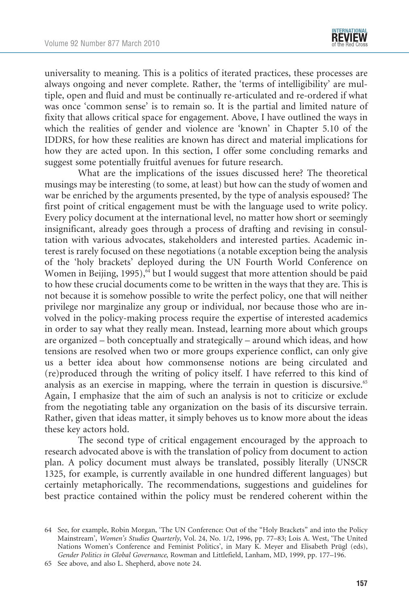universality to meaning. This is a politics of iterated practices, these processes are always ongoing and never complete. Rather, the 'terms of intelligibility' are multiple, open and fluid and must be continually re-articulated and re-ordered if what was once 'common sense' is to remain so. It is the partial and limited nature of fixity that allows critical space for engagement. Above, I have outlined the ways in which the realities of gender and violence are 'known' in Chapter 5.10 of the IDDRS, for how these realities are known has direct and material implications for how they are acted upon. In this section, I offer some concluding remarks and suggest some potentially fruitful avenues for future research.

What are the implications of the issues discussed here? The theoretical musings may be interesting (to some, at least) but how can the study of women and war be enriched by the arguments presented, by the type of analysis espoused? The first point of critical engagement must be with the language used to write policy. Every policy document at the international level, no matter how short or seemingly insignificant, already goes through a process of drafting and revising in consultation with various advocates, stakeholders and interested parties. Academic interest is rarely focused on these negotiations (a notable exception being the analysis of the 'holy brackets' deployed during the UN Fourth World Conference on Women in Beijing,  $1995$ ),  $64$  but I would suggest that more attention should be paid to how these crucial documents come to be written in the ways that they are. This is not because it is somehow possible to write the perfect policy, one that will neither privilege nor marginalize any group or individual, nor because those who are involved in the policy-making process require the expertise of interested academics in order to say what they really mean. Instead, learning more about which groups are organized – both conceptually and strategically – around which ideas, and how tensions are resolved when two or more groups experience conflict, can only give us a better idea about how commonsense notions are being circulated and (re)produced through the writing of policy itself. I have referred to this kind of analysis as an exercise in mapping, where the terrain in question is discursive.<sup>65</sup> Again, I emphasize that the aim of such an analysis is not to criticize or exclude from the negotiating table any organization on the basis of its discursive terrain. Rather, given that ideas matter, it simply behoves us to know more about the ideas these key actors hold.

The second type of critical engagement encouraged by the approach to research advocated above is with the translation of policy from document to action plan. A policy document must always be translated, possibly literally (UNSCR 1325, for example, is currently available in one hundred different languages) but certainly metaphorically. The recommendations, suggestions and guidelines for best practice contained within the policy must be rendered coherent within the

<sup>64</sup> See, for example, Robin Morgan, 'The UN Conference: Out of the "Holy Brackets" and into the Policy Mainstream', Women's Studies Quarterly, Vol. 24, No. 1/2, 1996, pp. 77–83; Lois A. West, 'The United Nations Women's Conference and Feminist Politics', in Mary K. Meyer and Elisabeth Prügl (eds), Gender Politics in Global Governance, Rowman and Littlefield, Lanham, MD, 1999, pp. 177–196.

<sup>65</sup> See above, and also L. Shepherd, above note 24.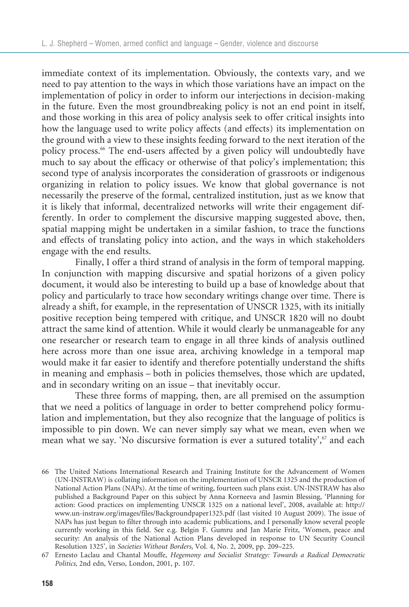immediate context of its implementation. Obviously, the contexts vary, and we need to pay attention to the ways in which those variations have an impact on the implementation of policy in order to inform our interjections in decision-making in the future. Even the most groundbreaking policy is not an end point in itself, and those working in this area of policy analysis seek to offer critical insights into how the language used to write policy affects (and effects) its implementation on the ground with a view to these insights feeding forward to the next iteration of the policy process.66 The end-users affected by a given policy will undoubtedly have much to say about the efficacy or otherwise of that policy's implementation; this second type of analysis incorporates the consideration of grassroots or indigenous organizing in relation to policy issues. We know that global governance is not necessarily the preserve of the formal, centralized institution, just as we know that it is likely that informal, decentralized networks will write their engagement differently. In order to complement the discursive mapping suggested above, then, spatial mapping might be undertaken in a similar fashion, to trace the functions and effects of translating policy into action, and the ways in which stakeholders engage with the end results.

Finally, I offer a third strand of analysis in the form of temporal mapping. In conjunction with mapping discursive and spatial horizons of a given policy document, it would also be interesting to build up a base of knowledge about that policy and particularly to trace how secondary writings change over time. There is already a shift, for example, in the representation of UNSCR 1325, with its initially positive reception being tempered with critique, and UNSCR 1820 will no doubt attract the same kind of attention. While it would clearly be unmanageable for any one researcher or research team to engage in all three kinds of analysis outlined here across more than one issue area, archiving knowledge in a temporal map would make it far easier to identify and therefore potentially understand the shifts in meaning and emphasis – both in policies themselves, those which are updated, and in secondary writing on an issue – that inevitably occur.

These three forms of mapping, then, are all premised on the assumption that we need a politics of language in order to better comprehend policy formulation and implementation, but they also recognize that the language of politics is impossible to pin down. We can never simply say what we mean, even when we mean what we say. 'No discursive formation is ever a sutured totality', $67$  and each

<sup>66</sup> The United Nations International Research and Training Institute for the Advancement of Women (UN-INSTRAW) is collating information on the implementation of UNSCR 1325 and the production of National Action Plans (NAPs). At the time of writing, fourteen such plans exist. UN-INSTRAW has also published a Background Paper on this subject by Anna Korneeva and Jasmin Blessing, 'Planning for action: Good practices on implementing UNSCR 1325 on a national level', 2008, available at: http:// www.un-instraw.org/images/files/Backgroundpaper1325.pdf (last visited 10 August 2009). The issue of NAPs has just begun to filter through into academic publications, and I personally know several people currently working in this field. See e.g. Belgin F. Gumru and Jan Marie Fritz, 'Women, peace and security: An analysis of the National Action Plans developed in response to UN Security Council Resolution 1325', in Societies Without Borders, Vol. 4, No. 2, 2009, pp. 209–225.

<sup>67</sup> Ernesto Laclau and Chantal Mouffe, Hegemony and Socialist Strategy: Towards a Radical Democratic Politics, 2nd edn, Verso, London, 2001, p. 107.